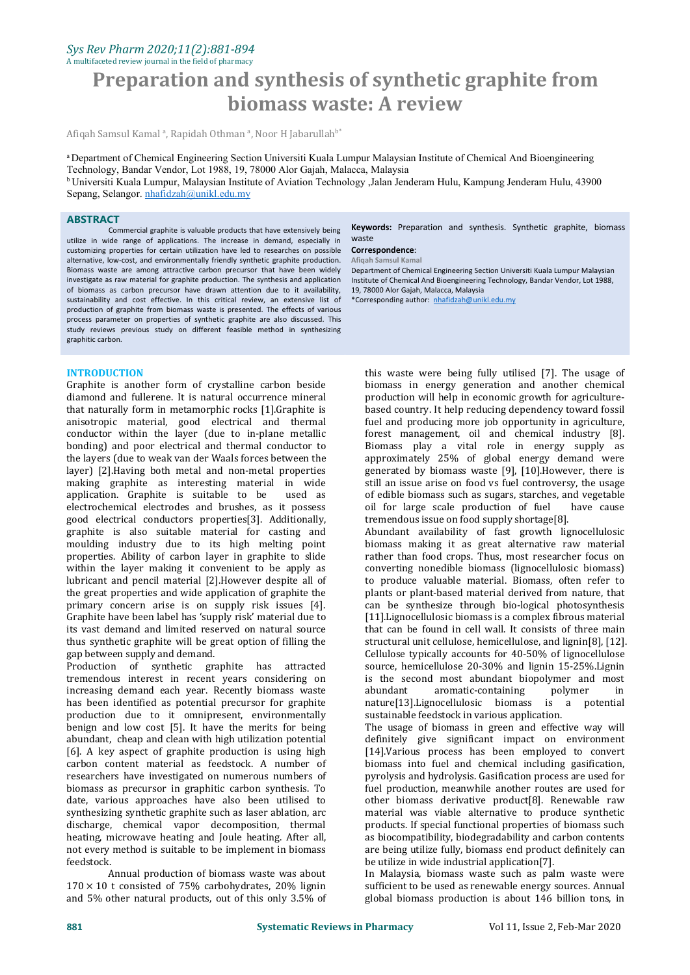# *Sys Rev Pharm 2020;11(2):881-894*

A multifaceted review journal in the field of pharmacy

# **Preparation and synthesis of synthetic graphite from biomass waste: A review**

Afiqah Samsul Kamal <sup>a</sup>, Rapidah Othman <sup>a</sup>, Noor H Jabarullah<sup>b</sup>\*

a Department of Chemical Engineering Section Universiti Kuala Lumpur Malaysian Institute of Chemical And Bioengineering Technology, Bandar Vendor, Lot 1988, 19, 78000 Alor Gajah, Malacca, Malaysia <sup>b</sup> Universiti Kuala Lumpur, Malaysian Institute of Aviation Technology ,Jalan Jenderam Hulu, Kampung Jenderam Hulu, 43900

Sepang, Selangor. [nhafidzah@unikl.edu.my](mailto:nhafidzah@unikl.edu.my)

#### **ABSTRACT**

Commercial graphite is valuable products that have extensively being utilize in wide range of applications. The increase in demand, especially in customizing properties for certain utilization have led to researches on possible alternative, low-cost, and environmentally friendly synthetic graphite production. Biomass waste are among attractive carbon precursor that have been widely investigate as raw material for graphite production. The synthesis and application of biomass as carbon precursor have drawn attention due to it availability, sustainability and cost effective. In this critical review, an extensive list of production of graphite from biomass waste is presented. The effects of various process parameter on properties of synthetic graphite are also discussed. This study reviews previous study on different feasible method in synthesizing graphitic carbon.

#### **INTRODUCTION**

Graphite is another form of crystalline carbon beside diamond and fullerene. It is natural occurrence mineral<br>that naturally form in metamorphic rocks [1]. Graphite is anisotropic material, good electrical and thermal conductor within the layer (due to in-plane metallic bonding) and poor electrical and thermal conductor to the layers (due to weak van der Waals forces between the layer) [2].Having both metal and non-metal properties making graphite as interesting material in wide application. Graphite is suitable to be electrochemical electrodes and brushes, as it possess good electrical conductors properties[3]. Additionally, graphite is also suitable material for casting and moulding industry due to its high melting point properties. Ability of carbon layer in graphite to slide within the layer making it convenient to be apply as lubricant and pencil material [2].However despite all of the great properties and wide application of graphite the primary concern arise is on supply risk issues [4]. Graphite have been label has 'supply risk' material due to its vast demand and limited reserved on natural source thus synthetic graphite will be great option of filling the gap between supply and demand.

Production of synthetic graphite has attracted tremendous interest in recent years considering on is the se<br>increasing demand each year. Recently biomass waste abundant increasing demand each year. Recently biomass waste has been identified as potential precursor for graphite production due to it omnipresent, environmentally benign and low cost [5]. It have the merits for being abundant, cheap and clean with high utilization potential [6]. A key aspect of graphite production is using high carbon content material as feedstock. A number of researchers have investigated on numerous numbers of biomass as precursor in graphitic carbon synthesis. To date, various approaches have also been utilised to synthesizing synthetic graphite such as laser ablation, arc discharge, chemical vapor decomposition, thermal heating, microwave heating and Joule heating. After all, not every method is suitable to be implement in biomass

Annual production of biomass waste was about  $170 \times 10$  t consisted of 75% carbohydrates, 20% lignin and 5% other natural products, out of this only 3.5% of

**Keywords:** Preparation and synthesis. Synthetic graphite, biomass waste

# **Correspondence**:

**Afiqah Samsul Kamal**

Department of Chemical Engineering Section Universiti Kuala Lumpur Malaysian Institute of Chemical And Bioengineering Technology, Bandar Vendor, Lot 1988, 19, 78000 Alor Gajah, Malacca, Malaysia

\*Corresponding author: [nhafidzah@unikl.edu.my](mailto:nhafidzah@unikl.edu.my)

this waste were being fully utilised [7]. The usage of biomass in energy generation and another chemical production will help in economic growth for agriculture based country. It help reducing dependency toward fossil fuel and producing more job opportunity in agriculture, forest management, oil and chemical industry [8]. Biomass play a vital role in energy supply as approximately 25% of global energy demand were generated by biomass waste [9], [10].However, there is still an issue arise on food vs fuel controversy, the usage of edible biomass such as sugars, starches, and vegetable<br>oil for large scale production of fuel have cause oil for large scale production of fuel tremendous issue on food supply shortage[8].

Abundant availability of fast growth lignocellulosic biomass making it as great alternative raw material rather than food crops. Thus, most researcher focus on converting nonedible biomass (lignocellulosic biomass) to produce valuable material. Biomass, often refer to plants or plant-based material derived from nature, that can be synthesize through bio-logical photosynthesis [11].Lignocellulosic biomass is a complex fibrous material that can be found in cell wall. It consists of three main structural unit cellulose, hemicellulose, and lignin[8], [12]. Cellulose typically accounts for 40-50% of lignocellulose source, hemicellulose 20-30% and lignin 15-25%.Lignin is the second most abundant biopolymer and most abundant aromatic-containing polymer in aromatic-containing polymer in<br>nocellulosic biomass is a potential nature[13].Lignocellulosic biomass is a sustainable feedstock in various application.

The usage of biomass in green and effective way will definitely give significant impact on environment [14].Various process has been employed to convert biomass into fuel and chemical including gasification, pyrolysis and hydrolysis. Gasification process are used for fuel production, meanwhile another routes are used for other biomass derivative product[8]. Renewable raw material was viable alternative to produce synthetic products. If special functional properties of biomass such as biocompatibility, biodegradability and carbon contents are being utilize fully, biomass end product definitely can be utilize in wide industrial application[7].

In Malaysia, biomass waste such as palm waste were sufficient to be used as renewable energy sources. Annual global biomass production is about 146 billion tons, in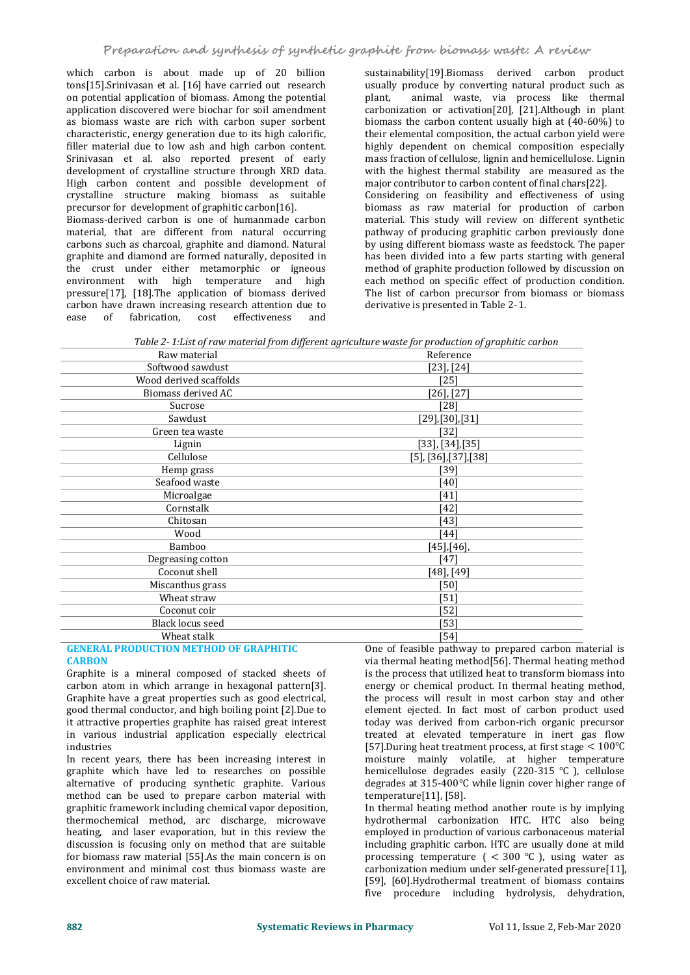which carbon is about made up of 20 billion tons[15].Srinivasan et al. [16] have carried out research on potential application of biomass. Among the potential application discovered were biochar for soil amendment as biomass waste are rich with carbon super sorbent characteristic, energy generation due to its high calorific, filler material due to low ash and high carbon content. Srinivasan et al. also reported present of early development of crystalline structure through XRD data. High carbon content and possible development of crystalline structure making biomass as suitable precursor for development of graphitic carbon[16]. Biomass-derived carbon is one of humanmade carbon material, that are different from natural occurring carbons such as charcoal, graphite and diamond. Natural graphite and diamond are formed naturally, deposited in the crust under either metamorphic or igneous environment with high temperature and high pressure[17], [18].The application of biomass derived

carbon have drawn increasing research attention due to<br>ease of fabrication, cost effectiveness and

of fabrication,

sustainability[19].Biomass derived carbon product usually produce by converting natural product such as animal waste, via process like thermal carbonization or activation[20], [21].Although in plant biomass the carbon content usually high at (40-60%) to their elemental composition, the actual carbon yield were highly dependent on chemical composition especially mass fraction of cellulose, lignin and hemicellulose. Lignin with the highest thermal stability are measured as the major contributor to carbon content of final chars[22]. Considering on feasibility and effectiveness of using biomass as raw material for production of carbon material. This study will review on different synthetic pathway of producing graphitic carbon previously done by using different biomass waste as feedstock. The paper has been divided into a few parts starting with general method of graphite production followed by discussion on each method on specific effect of production condition. The list of carbon precursor from biomass or biomass derivative is presented in Table 2-1.

*Table 2- 1:List ofraw material from dif erent agriculture waste for production of graphitic carbon*

|                        | Table 2- Libist of Taw material from alfferent agriculture waste for production of gruphitic curbon |
|------------------------|-----------------------------------------------------------------------------------------------------|
| Raw material           | Reference                                                                                           |
| Softwood sawdust       | $[23]$ , $[24]$                                                                                     |
| Wood derived scaffolds | [25]                                                                                                |
| Biomass derived AC     | $[26]$ , $[27]$                                                                                     |
| Sucrose                | [28]                                                                                                |
| Sawdust                | [29],[30],[31]                                                                                      |
| Green tea waste        | [32]                                                                                                |
| Lignin                 | $[33]$ , $[34]$ , $[35]$                                                                            |
| Cellulose              | $[5]$ , $[36]$ , $[37]$ , $[38]$                                                                    |
| Hemp grass             | [39]                                                                                                |
| Seafood waste          | [40]                                                                                                |
| Microalgae             | [41]                                                                                                |
| Cornstalk              | [42]                                                                                                |
| Chitosan               | [43]                                                                                                |
| Wood                   | [44]                                                                                                |
| Bamboo                 | $[45]$ , [46],                                                                                      |
| Degreasing cotton      | [47]                                                                                                |
| Coconut shell          | [48], [49]                                                                                          |
| Miscanthus grass       | [50]                                                                                                |
| Wheat straw            | [51]                                                                                                |
| Coconut coir           | [52]                                                                                                |
| Black locus seed       | [53]                                                                                                |
| Wheat stalk            | [54]                                                                                                |
|                        | $\sim$ $\sim$                                                                                       |

#### **GENERAL PRODUCTION METHOD OF GRAPHITIC CARBON**

Graphite is a mineral composed of stacked sheets of carbon atom in which arrange in hexagonal pattern[3]. Graphite have a great properties such as good electrical, good thermal conductor, and high boiling point [2].Due to it attractive properties graphite has raised great interest in various industrial application especially electrical industries

In recent years, there has been increasing interest in graphite which have led to researches on possible alternative of producing synthetic graphite. Various method can be used to prepare carbon material with graphitic framework including chemical vapor deposition, thermochemical method, arc discharge, microwave heating, and laser evaporation, but in this review the discussion is focusing only on method that are suitable for biomass raw material [55].As the main concern is on environment and minimal cost thus biomass waste are excellent choice of raw material.

One of feasible pathway to prepared carbon material is via thermal heating method[56]. Thermal heating method is the process that utilized heat to transform biomass into energy or chemical product. In thermal heating method, the process will result in most carbon stay and other element ejected. In fact most of carbon product used today was derived from carbon-rich organic precursor treated at elevated temperature in inert gas flow [57].During heat treatment process, at first stage  $< 100^{\circ}$ C moisture mainly volatile, at higher temperature hemicellulose degrades easily  $(220-315 \degree C)$ , cellulose degrades at  $315-400^{\circ}$ C while lignin cover higher range of temperature[11], [58].

In thermal heating method another route is by implying hydrothermal carbonization HTC. HTC also being employed in production of various carbonaceous material including graphitic carbon. HTC are usually done at mild processing temperature  $($  < 300  $\degree$ C), using water as carbonization medium under self-generated pressure[11], [59], [60].Hydrothermal treatment of biomass contains five procedure including hydrolysis, dehydration,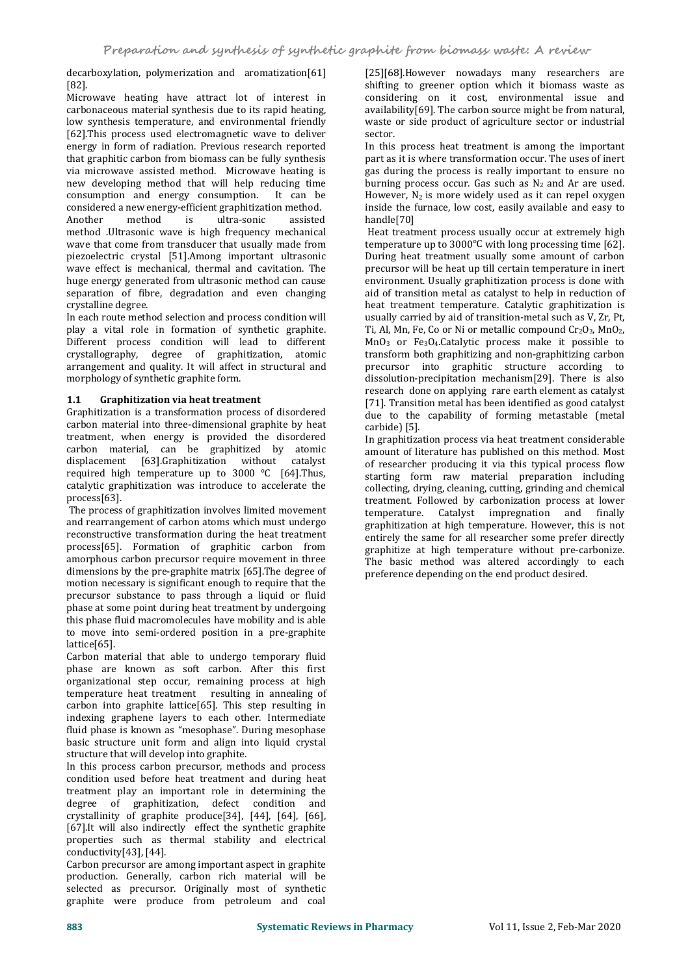decarboxylation, polymerization and aromatization[61]<br>[82] [82].

Microwave heating have attract lot of interest in carbonaceous material synthesis due to its rapid heating, low synthesis temperature, and environmental friendly [62].This process used electromagnetic wave to deliver energy in form of radiation. Previous research reported that graphitic carbon from biomass can be fully synthesis<br>via microwave assisted method. Microwave heating is new developing method that will help reducing time consumption and energy consumption. It can be considered a new energy-efficient graphitization method. Another method is ultra-sonic assisted method .Ultrasonic wave is high frequency mechanical wave that come from transducer that usually made from piezoelectric crystal [51].Among important ultrasonic wave effect is mechanical, thermal and cavitation. The huge energy generated from ultrasonic method can cause separation of fibre, degradation and even changing crystalline degree.

In each route method selection and process condition will play a vital role in formation of synthetic graphite. Different process condition will lead to different crystallography, degree of graphitization, atomic arrangement and quality. It will affect in structural and morphology of synthetic graphite form.

#### **1.1 Graphitization via heat treatment**

Graphitization is a transformation process of disordered carbon material into three-dimensional graphite by heat treatment, when energy is provided the disordered carbon material, can be graphitized by atomic displacement [63].Graphitization without catalyst required high temperature up to  $3000 \text{ °C}$  [64]. Thus, catalytic graphitization was introduce to accelerate the process[63].

The process of graphitization involves limited movement and rearrangement of carbon atoms which must undergo reconstructive transformation during the heat treatment process[65]. Formation of graphitic carbon from amorphous carbon precursor require movement in three dimensions by the pre-graphite matrix [65].The degree of motion necessary is significant enough to require that the precursor substance to pass through a liquid or fluid phase at some point during heat treatment by undergoing this phase fluid macromolecules have mobility and is able to move into semi-ordered position in a pre-graphite lattice[65].

Carbon material that able to undergo temporary fluid phase are known as soft carbon. After this first organizational step occur, remaining process at high temperature heat treatment resulting in annealing of carbon into graphite lattice[65]. This step resulting in indexing graphene layers to each other. Intermediate fluid phase is known as "mesophase". During mesophase basic structure unit form and align into liquid crystal structure that will develop into graphite.

In this process carbon precursor, methods and process condition used before heat treatment and during heat treatment play an important role in determining the degree of graphitization, defect condition and crystallinity of graphite produce[34], [44], [64], [66], [67].It will also indirectly effect the synthetic graphite properties such as thermal stability and electrical conductivity[43], [44].

Carbon precursor are among important aspect in graphite production. Generally, carbon rich material will be selected as precursor. Originally most of synthetic graphite were produce from petroleum and coal

[25][68].However nowadays many researchers are shifting to greener option which it biomass waste as considering on it cost, environmental issue and availability[69]. The carbon source might be from natural, waste or side product of agriculture sector or industrial sector.

In this process heat treatment is among the important part as it is where transformation occur. The uses of inert gas during the process is really important to ensure no burning process occur. Gas such as  $N_2$  and Ar are used. However,  $N_2$  is more widely used as it can repel oxygen inside the furnace, low cost, easily available and easy to handle[70]

Heat treatment process usually occur at extremely high temperature up to  $3000^{\circ}$ C with long processing time [62]. During heat treatment usually some amount of carbon precursor will be heat up till certain temperature in inert environment. Usually graphitization process is done with aid of transition metal as catalyst to help in reduction of heat treatment temperature. Catalytic graphitization is usually carried by aid of transition-metal such as V, Zr, Pt, Ti, Al, Mn, Fe, Co or Ni or metallic compound  $Cr_2O_3$ , MnO<sub>2</sub>,  $MnO<sub>3</sub>$  or Fe<sub>3</sub>O<sub>4</sub>.Catalytic process make it possible to transform both graphitizing and non-graphitizing carbon precursor into graphitic structure according to dissolution-precipitation mechanism[29]. There is also research done on applying rare earth element as catalyst [71]. Transition metal has been identified as good catalyst due to the capability of forming metastable (metal carbide) [5].

In graphitization process via heat treatment considerable amount of literature has published on this method. Most of researcher producing it via this typical process flow starting form raw material preparation including collecting, drying, cleaning, cutting, grinding and chemical treatment. Followed by carbonization process at lower temperature. Catalyst impregnation and finally graphitization at high temperature. However, this is not entirely the same for all researcher some prefer directly graphitize at high temperature without pre-carbonize. The basic method was altered accordingly to each preference depending on the end product desired.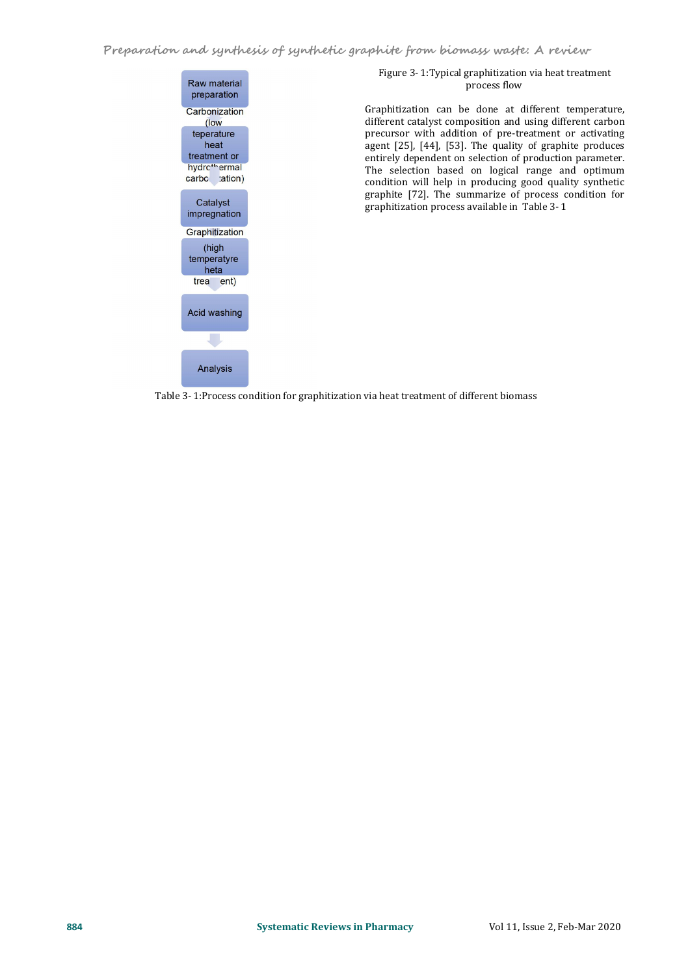

# Figure 3- 1:Typical graphitization via heat treatment process flow

Graphitization can be done at different temperature, different catalyst composition and using different carbon precursor with addition of pre-treatment or activating agent [25], [44], [53]. The quality of graphite produces entirely dependent on selection of production parameter. The selection based on logical range and optimum condition will help in producing good quality synthetic graphite [72]. The summarize of process condition for graphitization process available in Table 3- 1

Table 3- 1:Process condition for graphitization via heat treatment of different biomass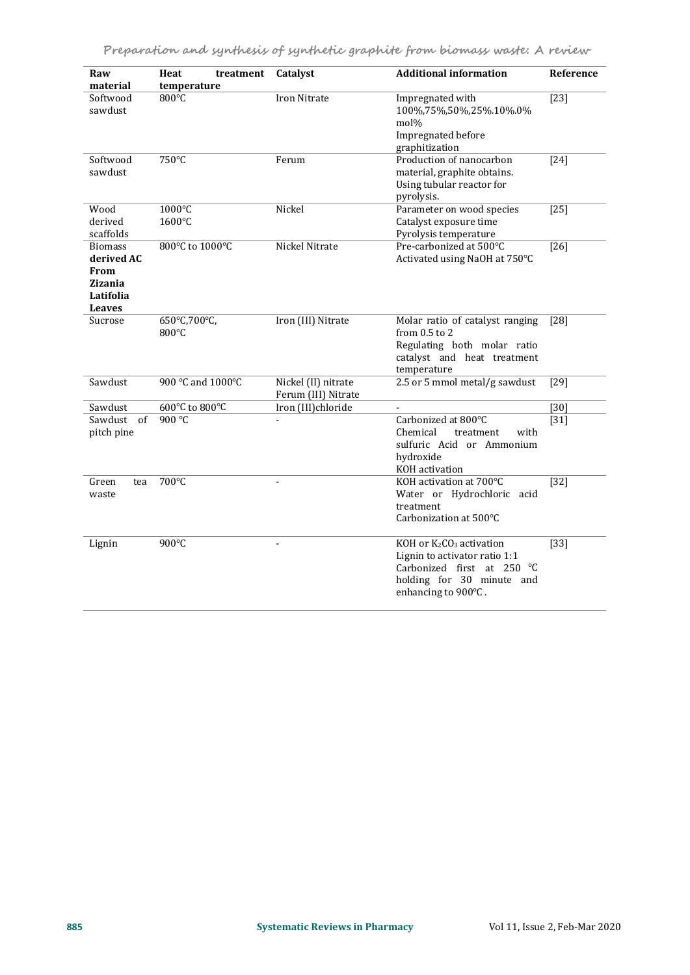| Raw<br>material                                                                      | Heat<br>treatment<br>temperature | Catalyst                                   | <b>Additional information</b>                                                                                                                        | Reference |
|--------------------------------------------------------------------------------------|----------------------------------|--------------------------------------------|------------------------------------------------------------------------------------------------------------------------------------------------------|-----------|
| Softwood<br>sawdust                                                                  | 800°C                            | Iron Nitrate                               | Impregnated with<br>100%,75%,50%,25%.10%.0%<br>mol%<br>Impregnated before<br>graphitization                                                          | $[23]$    |
| Softwood<br>sawdust                                                                  | 750°C                            | Ferum                                      | Production of nanocarbon<br>material, graphite obtains.<br>Using tubular reactor for<br>pyrolysis.                                                   | $[24]$    |
| Wood<br>derived<br>scaffolds                                                         | 1000°C<br>1600°C                 | Nickel                                     | Parameter on wood species<br>Catalyst exposure time<br>Pyrolysis temperature                                                                         | $[25]$    |
| <b>Biomass</b><br>derived AC<br>From<br><b>Zizania</b><br>Latifolia<br><b>Leaves</b> | 800°C to 1000°C                  | Nickel Nitrate                             | Pre-carbonized at 500°C<br>Activated using NaOH at 750°C                                                                                             | $[26]$    |
| Sucrose                                                                              | 650°C,700°C,<br>800°C            | Iron (III) Nitrate                         | Molar ratio of catalyst ranging<br>from 0.5 to 2<br>Regulating both molar ratio<br>catalyst and heat treatment<br>temperature                        | $[28]$    |
| Sawdust                                                                              | 900 °C and 1000°C                | Nickel (II) nitrate<br>Ferum (III) Nitrate | 2.5 or 5 mmol metal/g sawdust                                                                                                                        | $[29]$    |
| Sawdust                                                                              | 600°C to 800°C                   | Iron (III)chloride                         |                                                                                                                                                      | $[30]$    |
| Sawdust of<br>pitch pine                                                             | 900 °C                           |                                            | Carbonized at 800°C<br>Chemical<br>with<br>treatment<br>sulfuric Acid or Ammonium<br>hydroxide<br>KOH activation                                     | $[31]$    |
| Green<br>tea<br>waste                                                                | 700°C                            | ÷,                                         | KOH activation at 700°C<br>Water or Hydrochloric acid<br>treatment<br>Carbonization at 500°C                                                         | $[32]$    |
| Lignin                                                                               | $900^{\circ}$ C                  | $\blacksquare$                             | KOH or K2CO3 activation<br>Lignin to activator ratio 1:1<br>Carbonized first at 250 $^{\circ}$ C<br>holding for 30 minute and<br>enhancing to 900°C. | $[33]$    |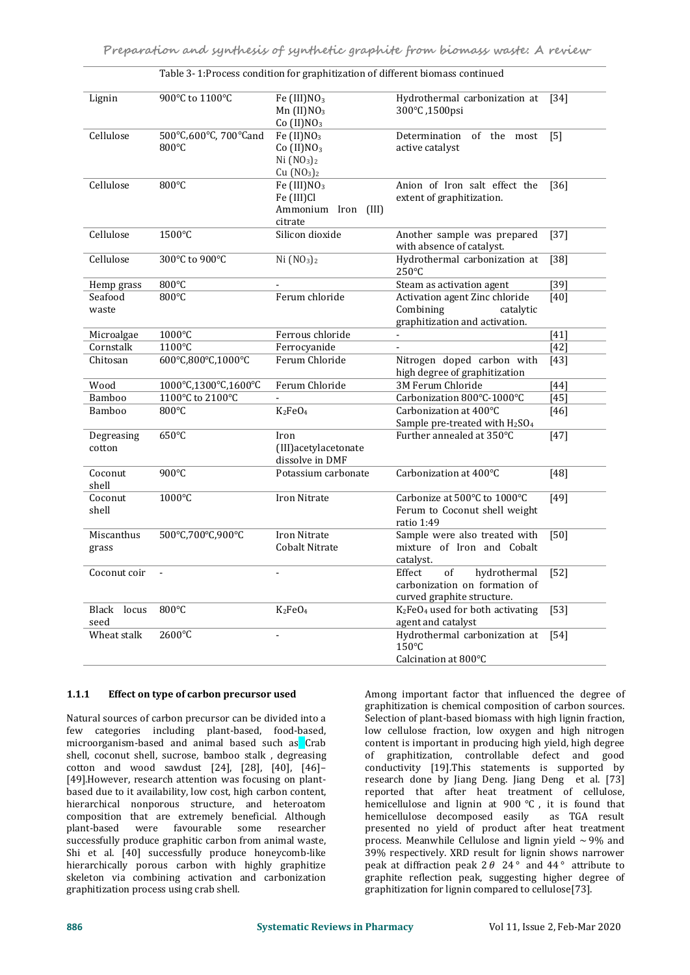| 900°C to 1100°C<br>Fe $(III)NO3$<br>Hydrothermal carbonization at<br>Lignin<br>$[34]$<br>$Mn$ (II) $NO3$<br>300°C, 1500psi<br>Co $(II)NO3$<br>500°C,600°C, 700°Cand<br>Cellulose<br>Fe $(II)NO3$<br>of the most<br>Determination<br>$\lceil 5 \rceil$<br>800°C<br>$Co$ (II) $NO3$<br>active catalyst<br>Ni (NO <sub>3</sub> ) <sub>2</sub><br>Cu (NO <sub>3</sub> ) <sub>2</sub><br>Cellulose<br>800°C<br>Fe (III)NO <sub>3</sub><br>Anion of Iron salt effect the<br>$[36]$<br>Fe (III)Cl<br>extent of graphitization.<br>Ammonium Iron<br>(III)<br>citrate<br>Cellulose<br>1500°C<br>Silicon dioxide<br>Another sample was prepared<br>$[37]$<br>with absence of catalyst.<br>Cellulose<br>Ni (NO <sub>3</sub> ) <sub>2</sub><br>Hydrothermal carbonization at<br>$[38]$<br>300°C to 900°C<br>250°C<br>800°C<br>Steam as activation agent<br>$[39]$<br>Hemp grass<br>800°C<br>Ferum chloride<br>Seafood<br>Activation agent Zinc chloride<br>[40]<br>Combining<br>waste<br>catalytic<br>graphitization and activation.<br>1000°C<br>Ferrous chloride<br>Microalgae<br>$[41]$<br>$\blacksquare$<br>1100°C<br>Ferrocyanide<br>$[42]$<br>Cornstalk<br>600°C,800°C,1000°C<br>Ferum Chloride<br>Nitrogen doped carbon with<br>Chitosan<br>$[43]$<br>high degree of graphitization<br>1000°C,1300°C,1600°C<br>Ferum Chloride<br>3M Ferum Chloride<br>$[44]$<br>Wood<br>1100°C to 2100°C<br>Carbonization 800°C-1000°C<br>Bamboo<br>[45]<br>Bamboo<br>800°C<br>$K_2FeO_4$<br>Carbonization at 400°C<br>[46]<br>Sample pre-treated with H <sub>2</sub> SO <sub>4</sub> |
|------------------------------------------------------------------------------------------------------------------------------------------------------------------------------------------------------------------------------------------------------------------------------------------------------------------------------------------------------------------------------------------------------------------------------------------------------------------------------------------------------------------------------------------------------------------------------------------------------------------------------------------------------------------------------------------------------------------------------------------------------------------------------------------------------------------------------------------------------------------------------------------------------------------------------------------------------------------------------------------------------------------------------------------------------------------------------------------------------------------------------------------------------------------------------------------------------------------------------------------------------------------------------------------------------------------------------------------------------------------------------------------------------------------------------------------------------------------------------------------------------------------------------------------------------------------|
|                                                                                                                                                                                                                                                                                                                                                                                                                                                                                                                                                                                                                                                                                                                                                                                                                                                                                                                                                                                                                                                                                                                                                                                                                                                                                                                                                                                                                                                                                                                                                                  |
|                                                                                                                                                                                                                                                                                                                                                                                                                                                                                                                                                                                                                                                                                                                                                                                                                                                                                                                                                                                                                                                                                                                                                                                                                                                                                                                                                                                                                                                                                                                                                                  |
|                                                                                                                                                                                                                                                                                                                                                                                                                                                                                                                                                                                                                                                                                                                                                                                                                                                                                                                                                                                                                                                                                                                                                                                                                                                                                                                                                                                                                                                                                                                                                                  |
|                                                                                                                                                                                                                                                                                                                                                                                                                                                                                                                                                                                                                                                                                                                                                                                                                                                                                                                                                                                                                                                                                                                                                                                                                                                                                                                                                                                                                                                                                                                                                                  |
|                                                                                                                                                                                                                                                                                                                                                                                                                                                                                                                                                                                                                                                                                                                                                                                                                                                                                                                                                                                                                                                                                                                                                                                                                                                                                                                                                                                                                                                                                                                                                                  |
|                                                                                                                                                                                                                                                                                                                                                                                                                                                                                                                                                                                                                                                                                                                                                                                                                                                                                                                                                                                                                                                                                                                                                                                                                                                                                                                                                                                                                                                                                                                                                                  |
|                                                                                                                                                                                                                                                                                                                                                                                                                                                                                                                                                                                                                                                                                                                                                                                                                                                                                                                                                                                                                                                                                                                                                                                                                                                                                                                                                                                                                                                                                                                                                                  |
|                                                                                                                                                                                                                                                                                                                                                                                                                                                                                                                                                                                                                                                                                                                                                                                                                                                                                                                                                                                                                                                                                                                                                                                                                                                                                                                                                                                                                                                                                                                                                                  |
|                                                                                                                                                                                                                                                                                                                                                                                                                                                                                                                                                                                                                                                                                                                                                                                                                                                                                                                                                                                                                                                                                                                                                                                                                                                                                                                                                                                                                                                                                                                                                                  |
|                                                                                                                                                                                                                                                                                                                                                                                                                                                                                                                                                                                                                                                                                                                                                                                                                                                                                                                                                                                                                                                                                                                                                                                                                                                                                                                                                                                                                                                                                                                                                                  |
|                                                                                                                                                                                                                                                                                                                                                                                                                                                                                                                                                                                                                                                                                                                                                                                                                                                                                                                                                                                                                                                                                                                                                                                                                                                                                                                                                                                                                                                                                                                                                                  |
|                                                                                                                                                                                                                                                                                                                                                                                                                                                                                                                                                                                                                                                                                                                                                                                                                                                                                                                                                                                                                                                                                                                                                                                                                                                                                                                                                                                                                                                                                                                                                                  |
|                                                                                                                                                                                                                                                                                                                                                                                                                                                                                                                                                                                                                                                                                                                                                                                                                                                                                                                                                                                                                                                                                                                                                                                                                                                                                                                                                                                                                                                                                                                                                                  |
| 650°C<br>Further annealed at 350°C<br>Degreasing<br>$[47]$<br>Iron<br>(III) acetylacetonate<br>cotton<br>dissolve in DMF                                                                                                                                                                                                                                                                                                                                                                                                                                                                                                                                                                                                                                                                                                                                                                                                                                                                                                                                                                                                                                                                                                                                                                                                                                                                                                                                                                                                                                         |
| 900°C<br>Carbonization at 400°C<br>Coconut<br>Potassium carbonate<br>$[48]$<br>shell                                                                                                                                                                                                                                                                                                                                                                                                                                                                                                                                                                                                                                                                                                                                                                                                                                                                                                                                                                                                                                                                                                                                                                                                                                                                                                                                                                                                                                                                             |
| Coconut<br>1000°C<br>Iron Nitrate<br>Carbonize at 500°C to 1000°C<br>$[49]$<br>shell<br>Ferum to Coconut shell weight<br>ratio 1:49                                                                                                                                                                                                                                                                                                                                                                                                                                                                                                                                                                                                                                                                                                                                                                                                                                                                                                                                                                                                                                                                                                                                                                                                                                                                                                                                                                                                                              |
| 500°C,700°C,900°C<br>Iron Nitrate<br>Sample were also treated with<br>Miscanthus<br>$[50]$<br><b>Cobalt Nitrate</b><br>mixture of Iron and Cobalt<br>grass<br>catalyst.                                                                                                                                                                                                                                                                                                                                                                                                                                                                                                                                                                                                                                                                                                                                                                                                                                                                                                                                                                                                                                                                                                                                                                                                                                                                                                                                                                                          |
| of<br>Coconut coir<br>Effect<br>hydrothermal<br>$[52]$<br>carbonization on formation of<br>curved graphite structure.                                                                                                                                                                                                                                                                                                                                                                                                                                                                                                                                                                                                                                                                                                                                                                                                                                                                                                                                                                                                                                                                                                                                                                                                                                                                                                                                                                                                                                            |
| K <sub>2</sub> FeO <sub>4</sub> used for both activating<br>Black locus<br>$800^{\circ}$ C<br>$K_2FeO_4$<br>$[53]$<br>agent and catalyst<br>seed                                                                                                                                                                                                                                                                                                                                                                                                                                                                                                                                                                                                                                                                                                                                                                                                                                                                                                                                                                                                                                                                                                                                                                                                                                                                                                                                                                                                                 |
| 2600°C<br>Wheat stalk<br>Hydrothermal carbonization at<br>$[54]$<br>150°C<br>Calcination at 800°C                                                                                                                                                                                                                                                                                                                                                                                                                                                                                                                                                                                                                                                                                                                                                                                                                                                                                                                                                                                                                                                                                                                                                                                                                                                                                                                                                                                                                                                                |

Table 3- 1:Process condition for graphitization of different biomass continued

#### **1.1.1 Effecton type of carbon precursor used**

Natural sources of carbon precursor can be divided into a few categories including plant-based, food-based, microorganism-based and animal based such as Crab shell, coconut shell, sucrose, bamboo stalk , degreasing cotton and wood sawdust  $[24]$ ,  $[28]$ ,  $[40]$ ,  $[46]$ -[49].However, research attention was focusing on plant based due to it availability, low cost, high carbon content, hierarchical nonporous structure, and heteroatom composition that are extremely beneficial. Although favourable some researcher successfully produce graphitic carbon from animal waste, Shi et al. [40] successfully produce honeycomb-like hierarchically porous carbon with highly graphitize skeleton via combining activation and carbonization graphitization process using crab shell.

Among important factor that influenced the degree of graphitization is chemical composition of carbon sources. Selection of plant-based biomass with high lignin fraction, low cellulose fraction, low oxygen and high nitrogen content is important in producing high yield, high degree of graphitization, controllable defect and good conductivity [19].This statements is supported by research done by Jiang Deng. Jiang Deng et al. [73] reported that after heat treatment of cellulose, hemicellulose and lignin at 900  $^{\circ}$ C, it is found that hemicellulose decomposed easily as TGA result presented no yield of product after heat treatment process. Meanwhile Cellulose and lignin yield  $\sim$  9% and 39% respectively. XRD result for lignin shows narrower peak at diffraction peak  $2\theta$   $24^{\circ}$  and  $44^{\circ}$  attribute to graphite reflection peak, suggesting higher degree of graphitization for lignin compared to cellulose[73].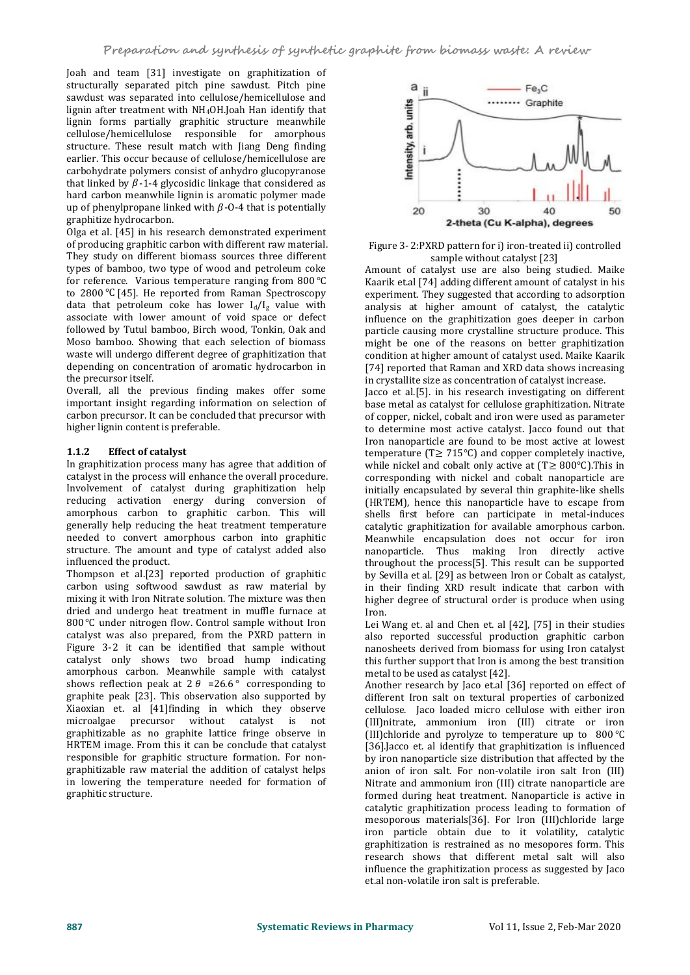Joah and team [31] investigate on graphitization of structurally separated pitch pine sawdust. Pitch pine sawdust was separated into cellulose/hemicellulose and<br>lignin after treatment with NH<sub>4</sub>OH,Joah Han identify that<br>lignin forms partially graphitic structure meanwhile<br>cellulose/hemicellulose responsible for amorphous<br>stru lignin after treatment with NH4OH.Joah Han identify that lignin forms partially graphitic structure meanwhile cellulose/hemicellulose responsible for amorphous structure. These result match with Jiang Deng finding earlier. This occur because of cellulose/hemicellulose are carbohydrate polymers consist of anhydro glucopyranose that linked by  $\beta$ -1-4 glycosidic linkage that considered as hard carbon meanwhile lignin is aromatic polymer made up of phenylpropane linked with  $\beta$ -O-4 that is potentially 20 graphitize hydrocarbon.

Olga et al. [45] in his research demonstrated experiment of producing graphitic carbon with different raw material. They study on different biomass sources three different types of bamboo, two type of wood and petroleum coke for reference. Various temperature ranging from  $800^{\circ}$ C to  $2800$  °C [45]. He reported from Raman Spectroscopy data that petroleum coke has lower  $I_d/I_g$  value with associate with lower amount of void space or defect followed by Tutul bamboo, Birch wood, Tonkin, Oak and Moso bamboo. Showing that each selection of biomass waste will undergo different degree of graphitization that depending on concentration of aromatic hydrocarbon in the precursor itself.

Overall, all the previous finding makes offer some important insight regarding information on selection of carbon precursor. It can be concluded that precursor with higher lignin content is preferable.

### **1.1.2 Effectof catalyst**

In graphitization process many has agree that addition of catalyst in the process will enhance the overall procedure. Involvement of catalyst during graphitization help reducing activation energy during conversion of amorphous carbon to graphitic carbon. This will generally help reducing the heat treatment temperature needed to convert amorphous carbon into graphitic structure. The amount and type of catalyst added also influenced the product.

Thompson et al.[23] reported production of graphitic carbon using softwood sawdust as raw material by mixing it with Iron Nitrate solution. The mixture was then dried and undergo heat treatment in muffle furnace at 800 ℃ under nitrogen flow. Control sample without Iron catalyst was also prepared, from the PXRD pattern in Figure 3-2 it can be identified that sample without catalyst only shows two broad hump indicating<br>amorphous carbon. Meanwhile sample with catalyst shows reflection peak at 2  $\theta$  =26.6  $\degree$  corresponding to graphite peak [23]. This observation also supported by Xiaoxian et. al [41]finding in which they observe microalgae precursor without catalyst is not graphitizable as no graphite lattice fringe observe in HRTEM image. From this it can be conclude that catalyst responsible for graphitic structure formation. For non graphitizable raw material the addition of catalyst helps in lowering the temperature needed for formation of graphitic structure.



Figure 3- 2:PXRD pattern for i) iron-treated ii) controlled sample without catalyst [23]

Amount of catalyst use are also being studied. Maike Kaarik et.al [74] adding different amount of catalyst in his experiment. They suggested that according to adsorption analysis at higher amount of catalyst, the catalytic influence on the graphitization goes deeper in carbon particle causing more crystalline structure produce. This might be one of the reasons on better graphitization condition at higher amount of catalyst used.Maike Kaarik [74] reported that Raman and XRD data shows increasing in crystallite size as concentration of catalyst increase.

Jacco et al.[5]. in his research investigating on different base metal as catalyst for cellulose graphitization. Nitrate of copper, nickel, cobalt and iron were used as parameter to determine most active catalyst. Jacco found out that Iron nanoparticle are found to be most active at lowest temperature ( $T \ge 715^{\circ}$ C) and copper completely inactive, while nickel and cobalt only active at  $(T \ge 800^{\circ}C)$ . This in corresponding with nickel and cobalt nanoparticle are initially encapsulated by several thin graphite-like shells (HRTEM), hence this nanoparticle have to escape from shells first before can participate in metal-induces catalytic graphitization for available amorphous carbon. Meanwhile encapsulation does not occur for iron nanoparticle. Thus making Iron directly active throughout the process[5]. This result can be supported by Sevilla et al. [29] as between Iron or Cobalt as catalyst, in their finding XRD result indicate that carbon with higher degree of structural order is produce when using Iron.

Lei Wang et. al and Chen et. al [42], [75] in their studies also reported successful production graphitic carbon nanosheets derived from biomass for using Iron catalyst this further support that Iron is among the best transition metal to be used as catalyst [42].

Another research by Jaco et.al [36] reported on effect of different Iron salt on textural properties of carbonized cellulose. Jaco loaded micro cellulose with either iron (III)nitrate, ammonium iron (III) citrate or iron (III)chloride and pyrolyze to temperature up to  $800^{\circ}$ C [36].Jacco et. al identify that graphitization is influenced by iron nanoparticle size distribution that affected by the anion of iron salt. For non-volatile iron salt Iron (III) Nitrate and ammonium iron (III) citrate nanoparticle are formed during heat treatment. Nanoparticle is active in catalytic graphitization process leading to formation of mesoporous materials[36]. For Iron (III)chloride large iron particle obtain due to it volatility, catalytic graphitization is restrained as no mesopores form. This research shows that different metal salt will also influence the graphitization process as suggested by Jaco et.al non-volatile iron salt is preferable.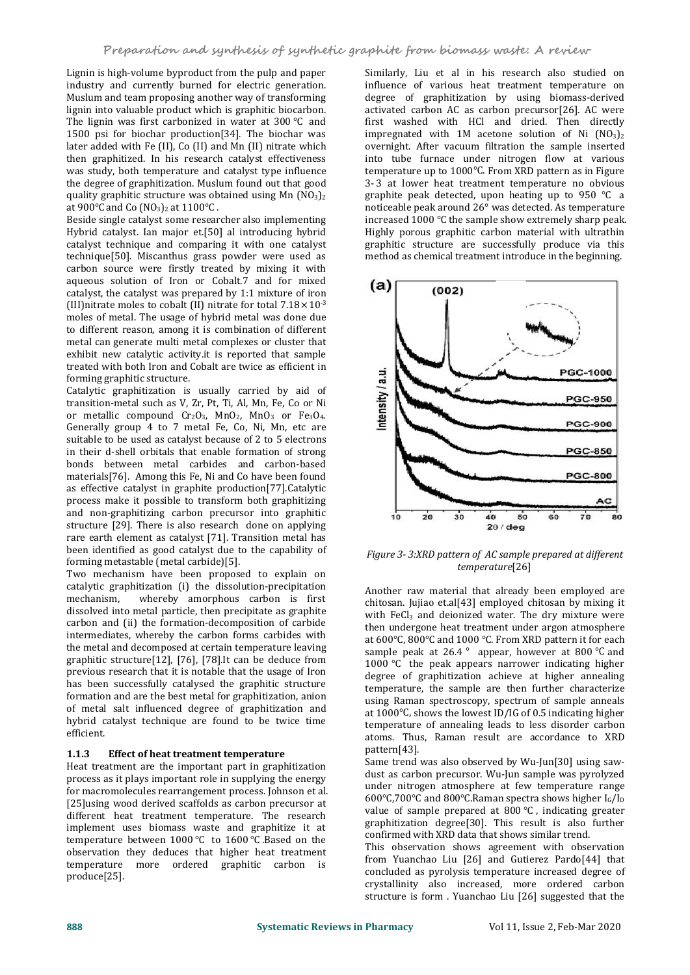Lignin is high-volume byproduct from the pulp and paper industry and currently burned for electric generation. Muslum and team proposing another way of transforming lignin into valuable product which is graphitic biocarbon. The lignin was first carbonized in water at  $300^{\circ}$ C and 1500 psi for biochar production[34]. The biochar was later added with Fe (II), Co (II) and Mn (II) nitrate which then graphitized. In his research catalyst effectiveness was study, both temperature and catalyst type influence the degree of graphitization. Muslum found out that good quality graphitic structure was obtained using Mn  $(NO<sub>3</sub>)<sub>2</sub>$ at 900 $^{\circ}$ C and Co (NO<sub>3</sub>)<sub>2</sub> at 1100 $^{\circ}$ C.

Beside single catalyst some researcher also implementing Hybrid catalyst. Ian major et.[50] al introducing hybrid catalyst technique and comparing it with one catalyst technique[50]. Miscanthus grass powder were used as carbon source were firstly treated by mixing it with aqueous solution of Iron or Cobalt.7 and for mixed  $(a)$   $\overline{\qquad \qquad}$   $\qquad \qquad$   $\qquad \qquad$   $\qquad \qquad$   $\qquad \qquad$   $\qquad \qquad$   $\qquad \qquad$   $\qquad \qquad$   $\qquad \qquad$   $\qquad \qquad$   $\qquad \qquad$   $\qquad \qquad$   $\qquad \qquad$   $\qquad \qquad$   $\qquad \qquad$   $\qquad \qquad$   $\qquad \qquad$   $\qquad \qquad$ catalyst, the catalyst was prepared by 1:1 mixture of iron (III) nitrate moles to cobalt (II) nitrate for total  $7.18\times10^{3}$ moles of metal. The usage of hybrid metal was done due to different reason, among it is combination of different metal can generate multi metal complexes or cluster that exhibit new catalytic activity.it is reported that sample forming graphitic structure.

treated with both Iron and Cobalt are twice as efficient in<br>forming graphitic structure.<br>Catalytic graphitization is usually carried by aid of<br>transition-metal such as V, Zr, Pt, Ti, Al, Mn, Fe, Co or Ni<br>connection of the Catalytic graphitization is usually carried by aid of transition-metal such as V, Zr, Pt, Ti, Al, Mn, Fe, Co or Ni or metallic compound  $Cr<sub>2</sub>O<sub>3</sub>$ , MnO<sub>2</sub>, MnO<sub>3</sub> or Fe<sub>3</sub>O<sub>4</sub>. Generally group  $\overline{4}$  to 7 metal Fe, Co, Ni, Mn, etc are suitable to be used as catalyst because of 2 to 5 electrons in their d-shell orbitals that enable formation of strong bonds between metal carbides and carbon-based materials[76]. Among this Fe, Ni and Co have been found as effective catalyst in graphite production[77].Catalytic process make it possible to transform both graphitizing and non-graphitizing carbon precursor into graphitic  $\overrightarrow{16}$ structure [29]. There is also research done on applying rare earth element as catalyst [71]. Transition metal has been identified as good catalyst due to the capability of forming metastable (metal carbide)[5].

Two mechanism have been proposed to explain on catalytic graphitization (i) the dissolution-precipitation whereby amorphous carbon is first dissolved into metal particle, then precipitate as graphite carbon and (ii) the formation-decomposition of carbide intermediates, whereby the carbon forms carbides with the metal and decomposed at certain temperature leaving graphitic structure $[12]$ ,  $[76]$ ,  $[78]$ . It can be deduce from previous research that it is notable that the usage of Iron has been successfully catalysed the graphitic structure formation and are the best metal for graphitization, anion of metal salt influenced degree of graphitization and hybrid catalyst technique are found to be twice time efficient.

#### **1.1.3 Effectof heat treatment temperature**

Heat treatment are the important part in graphitization process as it plays important role in supplying the energy for macromolecules rearrangement process. Johnson et al. [25]using wood derived scaffolds as carbon precursor at different heat treatment temperature. The research implement uses biomass waste and graphitize it at temperature between  $1000^{\circ}$ C to  $1600^{\circ}$ C .Based on the observation they deduces that higher heat treatment temperature more ordered graphitic carbon is produce[25].

Similarly, Liu et al in his research also studied on influence of various heat treatment temperature on degree of graphitization by using biomass-derived activated carbon AC as carbon precursor[26]. AC were first washed with HCl and dried. Then directly impregnated with 1M acetone solution of Ni  $(NO<sub>3</sub>)<sub>2</sub>$ overnight. After vacuum filtration the sample inserted into tube furnace under nitrogen flow at various temperature up to 1000°C. From XRD pattern as in Figure 3-3 at lower heat treatment temperature no obvious graphite peak detected, upon heating up to 950  $°C$  a noticeable peak around 26° was detected. As temperature increased 1000  $\degree$ C the sample show extremely sharp peak. Highly porous graphitic carbon material with ultrathin graphitic structure are successfully produce via this method as chemical treatment introduce in the beginning.



*Figure 3- 3:XRD pattern of AC sample prepared at dif erent temperature*[26]

Another raw material that already been employed are chitosan. Jujiao et.al[43] employed chitosan by mixing it with FeCl<sub>3</sub> and deionized water. The dry mixture were then undergone heat treatment under argon atmosphere at 600 $\degree$ C, 800 $\degree$ C and 1000  $\degree$ C. From XRD pattern it for each sample peak at 26.4  $\degree$  appear, however at 800  $\degree$ C and 1000  $°C$  the peak appears narrower indicating higher degree of graphitization achieve at higher annealing temperature, the sample are then further characterize using Raman spectroscopy, spectrum of sample anneals at 1000 $\degree$ C, shows the lowest ID/IG of 0.5 indicating higher temperature of annealing leads to less disorder carbon atoms. Thus, Raman result are accordance to XRD pattern[43].

Same trend was also observed by Wu-Jun[30] using saw dust as carbon precursor. Wu-Jun sample was pyrolyzed under nitrogen atmosphere at few temperature range 600°C,700°C and 800°C.Raman spectra shows higher  $I_G/I_D$ value of sample prepared at 800  $\degree$ C, indicating greater graphitization degree[30]. This result is also further confirmed with XRD data that shows similar trend.

This observation shows agreement with observation from Yuanchao Liu [26] and Gutierez Pardo[44] that concluded as pyrolysis temperature increased degree of crystallinity also increased, more ordered carbon structure is form . Yuanchao Liu [26] suggested that the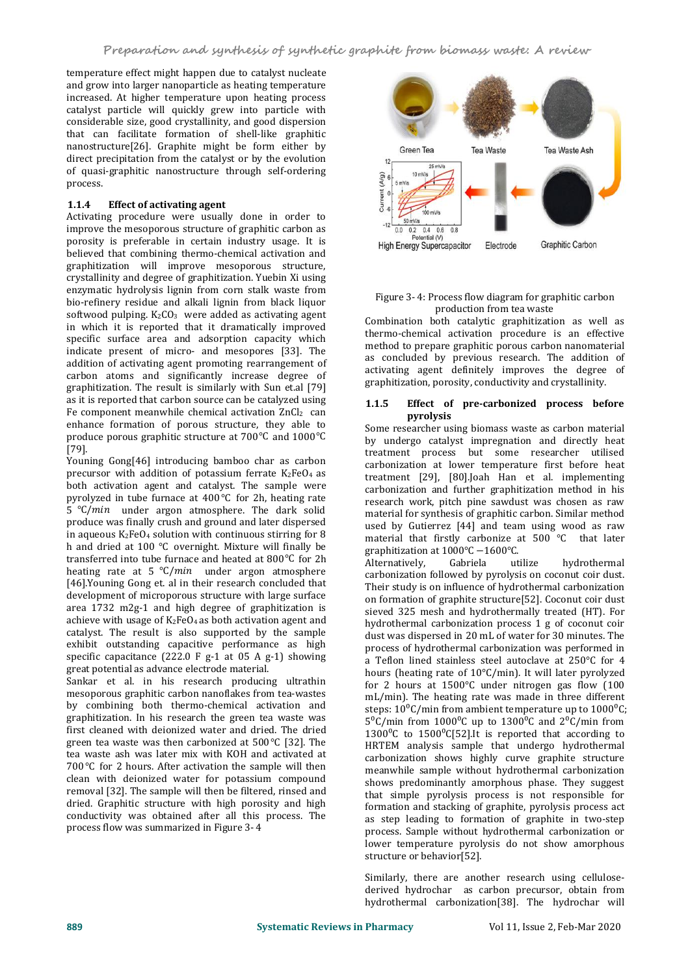temperature effect might happen due to catalyst nucleate and grow into larger nanoparticle as heating temperature increased. At higher temperature upon heating process catalyst particle will quickly grew into particle with considerable size, good crystallinity, and good dispersion that can facilitate formation of shell-like graphitic nanostructure[26]. Graphite might be form either by Green Tea direct precipitation from the catalyst or by the evolution of quasi-graphitic nanostructure through self-ordering  $\frac{1}{3}$  is  $\frac{10 \text{ mV}}{5 \text{ mV}}$ process.

# **1.1.4 Effect of activating agent**

Activating procedure were usually done in order to  $\frac{1}{2}$   $\frac{1}{2}$   $\frac{60 \text{ mV}}{0.0 \text{ N}}$ improve the mesoporous structure of graphitic carbon as  $\frac{12}{60} \frac{0.02}{0.02} \frac{0.04}{0.08}$ porosity is preferable in certain industry usage. It is Fotential (V) Potential (V) Potential (V) believed that combining thermo-chemical activation and graphitization will improve mesoporous structure, crystallinity and degree of graphitization. Yuebin Xi using enzymatic hydrolysis lignin from corn stalk waste from bio-refinery residue and alkali lignin from black liquor softwood pulping.  $K_2CO_3$  were added as activating agent in which it is reported that it dramatically improved specific surface area and adsorption capacity which indicate present of micro- and mesopores [33]. The addition of activating agent promoting rearrangement of carbon atoms and significantly increase degree of graphitization. The result is similarly with Sun et.al [79] as it is reported that carbon source can be catalyzed using 1.1.5 Fe component meanwhile chemical activation  $ZnCl<sub>2</sub>$  can enhance formation of porous structure, they able to produce porous graphitic structure at  $700^{\circ}$ C and  $1000^{\circ}$ C [79].

Youning Gong[46] introducing bamboo char as carbon precursor with addition of potassium ferrate  $K_2FeO_4$  as both activation agent and catalyst. The sample were pyrolyzed in tube furnace at  $400^{\circ}$ C for 2h, heating rate 5  $°C/min$  under argon atmosphere. The dark solid produce was finally crush and ground and later dispersed in aqueous  $K_2FeO_4$  solution with continuous stirring for 8 h and dried at 100  $°C$  overnight. Mixture will finally be transferred into tube furnace and heated at  $800^{\circ}$ C for 2h Alternatively, Gabriela heating rate at 5  $°C/min$  under argon atmosphere [46].Youning Gong et. al in their research concluded that development of microporous structure with large surface area  $1732$  m $2g-1$  and high degree of graphitization is achieve with usage of  $K_2FeO_4$  as both activation agent and catalyst. The result is also supported by the sample exhibit outstanding capacitive performance as high specific capacitance (222.0 F g-1 at 05 A g-1) showing great potential as advance electrode material.

Sankar et al. in his research producing ultrathin mesoporous graphitic carbon nanoflakes from tea-wastes by combining both thermo-chemical activation and graphitization. In his research the green tea waste was first cleaned with deionized water and dried. The dried green tea waste was then carbonized at  $500^{\circ}$ C [32]. The tea waste ash was later mix with KOH and activated at 700 $\degree$ C for 2 hours. After activation the sample will then clean with deionized water for potassium compound removal [32]. The sample will then be filtered, rinsed and dried. Graphitic structure with high porosity and high conductivity was obtained after all this process. The process flow was summarized in Figure 3- 4



#### Figure 3- 4: Process flow diagram for graphitic carbon production from tea waste

Combination both catalytic graphitization as well as thermo-chemical activation procedure is an effective method to prepare graphitic porous carbon nanomaterial as concluded by previous research. The addition of activating agent definitely improves the degree of graphitization, porosity, conductivity and crystallinity.

#### **1.1.5 1.1.5 1.1.5 1.1.5 1.1.5 1.1.5 1.1.5 1.1.5 1.1.5 1.1.5 1.1.5 1.1.5 1.1.5 1.1.5 1.1.5 1.1.5 1.1.5 1.1.5 1.1.5 1.1.5 1.1.5 1.1.5 1.1.5 1.1.5 1.1.5 1.1.5 1.1.5 1.1.5 pyrolysis**

Some researcher using biomass waste as carbon material by undergo catalyst impregnation and directly heat treatment process but some researcher utilised carbonization at lower temperature first before heat treatment [29], [80].Joah Han et al. implementing carbonization and further graphitization method in his research work, pitch pine sawdust was chosen as raw material for synthesis of graphitic carbon. Similar method used by Gutierrez [44] and team using wood as raw material that firstly carbonize at 500  $°C$  that later graphitization at 1000°C -1600°C.<br>Alternatively, Gabriela utilize hydrothermal

Alternatively, Gabriela utilize hydrothermal carbonization followed by pyrolysis on coconut coir dust. Their study is on influence of hydrothermal carbonization on formation of graphite structure[52]. Coconut coir dust sieved 325 mesh and hydrothermally treated (HT). For hydrothermal carbonization process 1 g of coconut coir dust was dispersed in 20 mL of water for 30 minutes. The process of hydrothermal carbonization was performed in a Teflon lined stainless steel autoclave at 250°C for 4 hours (heating rate of 10°C/min). It will later pyrolyzed for 2 hours at 1500°C under nitrogen gas flow (100 mL/min). The heating rate was made in three different steps:  $10^{0}$ C/min from ambient temperature up to  $1000^{0}$ C;  $5^{\circ}$ C/min from 1000<sup>o</sup>C up to 1300<sup>o</sup>C and 2<sup>o</sup>C/min from 1300 $^{\circ}$ C to 1500 $^{\circ}$ C[52].It is reported that according to HRTEM analysis sample that undergo hydrothermal carbonization shows highly curve graphite structure meanwhile sample without hydrothermal carbonization shows predominantly amorphous phase. They suggest that simple pyrolysis process is not responsible for formation and stacking of graphite, pyrolysis process act as step leading to formation of graphite in two-step process. Sample without hydrothermal carbonization or lower temperature pyrolysis do not show amorphous structure or behavior[52].

Similarly, there are another research using cellulose derived hydrochar as carbon precursor, obtain from hydrothermal carbonization[38]. The hydrochar will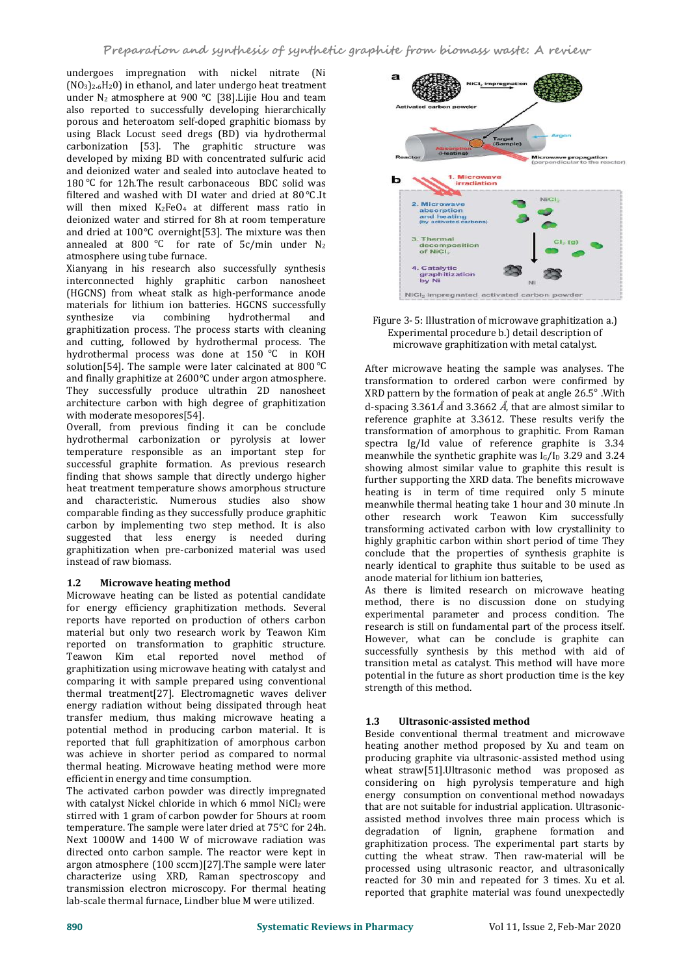undergoes impregnation with nickel nitrate (Ni  $(NQ_3)_{2.6}$ H<sub>2</sub> $(1)$  in ethanol, and later undergo heat treatment under  $N_2$  atmosphere at 900 °C [38]. Lijie Hou and team also reported to successfully developing hierarchically porous and heteroatom self-doped graphitic biomass by using Black Locust seed dregs (BD) via hydrothermal carbonization [53]. The graphitic structure was developed by mixing BD with concentrated sulfuric acid and deionized water and sealed into autoclave heated to  $100\%$  for  $10\frac{1}{2}$  The appelling property and  $\blacksquare$ 180 ℃ for 12h.The result carbonaceous BDC solid was filtered and washed with DI water and dried at 80 °C.<br>It will then mixed  $K_2FeO_4$  at different mass ratio in<br>deionized water and stirred for 8h at room temperature will then mixed  $K_2FeO_4$  at different mass ratio in deionized water and stirred for 8h at room temperature and dried at 100 °C overnight [53]. The mixture was then  $\frac{1}{3}$ . Thermal annealed at 800 °C for rate of  $5c/min$  under N<sub>2</sub> atmosphere using tube furnace.

Xianyang in his research also successfully synthesis interconnected highly graphitic carbon nanosheet (HGCNS) from wheat stalk as high-performance anode NICI<sub>2</sub> Impregnated activated carbon powder materials for lithium ion batteries. HGCNS successfully<br>synthesize via combining hydrothermal and synthesize via combining hydrothermal and Figure 3- 5: Illustration of microwave graphitization a.) graphitization process. The process starts with cleaning and cutting, followed by hydrothermal process. The hydrothermal process was done at  $150 °C$  in KOH solution[54]. The sample were later calcinated at 800 $\degree$ C and finally graphitize at 2600°C under argon atmosphere. They successfully produce ultrathin 2D nanosheet architecture carbon with high degree of graphitization with moderate mesopores[54].

Overall, from previous finding it can be conclude hydrothermal carbonization or pyrolysis at lower temperature responsible as an important step for successful graphite formation. As previous research finding that shows sample that directly undergo higher heat treatment temperature shows amorphous structure and characteristic. Numerous studies also show comparable finding asthey successfully produce graphitic carbon by implementing two step method. It is also suggested that less energy is needed during graphitization when pre-carbonized material was used instead of raw biomass.

# **1.2 Microwave heating method**

Microwave heating can be listed as potential candidate for energy efficiency graphitization methods. Several reports have reported on production of others carbon material but only two research work by Teawon Kim reported on transformation to graphitic structure. Teawon Kim et.al reported novel method of graphitization using microwave heating with catalyst and comparing it with sample prepared using conventional thermal treatment[27]. Electromagnetic waves deliver energy radiation without being dissipated through heat transfer medium, thus making microwave heating a 1.3 potential method in producing carbon material. It is reported that full graphitization of amorphous carbon was achieve in shorter period as compared to normal thermal heating. Microwave heating method were more efficient in energy and time consumption.

The activated carbon powder was directly impregnated with catalyst Nickel chloride in which 6 mmol NiCl2 were stirred with 1 gram of carbon powder for 5hours at room temperature. The sample were later dried at  $75^{\circ}$ C for 24h. Next 1000W and 1400 W of microwave radiation was directed onto carbon sample. The reactor were kept in argon atmosphere (100 sccm)[27].The sample were later characterize using XRD, Raman spectroscopy and transmission electron microscopy. For thermal heating lab-scale thermal furnace, Lindber blue M were utilized.





After microwave heating the sample was analyses. The transformation to ordered carbon were confirmed by XRD pattern by the formation of peak at angle  $26.5^\circ$ . With d-spacing 3.361 $\AA$  and 3.3662  $\AA$ , that are almost similar to reference graphite at 3.3612. These results verify the transformation of amorphous to graphitic. From Raman spectra Ig/Id value of reference graphite is 3.34 meanwhile the synthetic graphite was  $I_G/I_D$  3.29 and 3.24 showing almost similar value to graphite this result is further supporting the XRD data. The benefits microwave heating is in term of time required only 5 minute meanwhile thermal heating take 1 hour and 30 minute .In other research work Teawon Kim successfully transforming activated carbon with low crystallinity to highly graphitic carbon within short period of time They conclude that the properties of synthesis graphite is nearly identical to graphite thus suitable to be used as anode material for lithium ion batteries,

As there is limited research on microwave heating method, there is no discussion done on studying experimental parameter and process condition. The research is still on fundamental part of the process itself. However, what can be conclude is graphite can successfully synthesis by this method with aid of transition metal as catalyst. This method will have more potential in the future as short production time is the key strength of this method.

# **1.3 Ultrasonic-assisted method**

Beside conventional thermal treatment and microwave heating another method proposed by Xu and team on producing graphite via ultrasonic-assisted method using wheat straw[51].Ultrasonic method was proposed as considering on high pyrolysis temperature and high energy consumption on conventional method nowadays that are not suitable for industrial application. Ultrasonic assisted method involves three main process which is degradation of lignin, graphene formation and graphitization process. The experimental part starts by cutting the wheat straw. Then raw-material will be processed using ultrasonic reactor, and ultrasonically reacted for 30 min and repeated for 3 times. Xu et al. reported that graphite material was found unexpectedly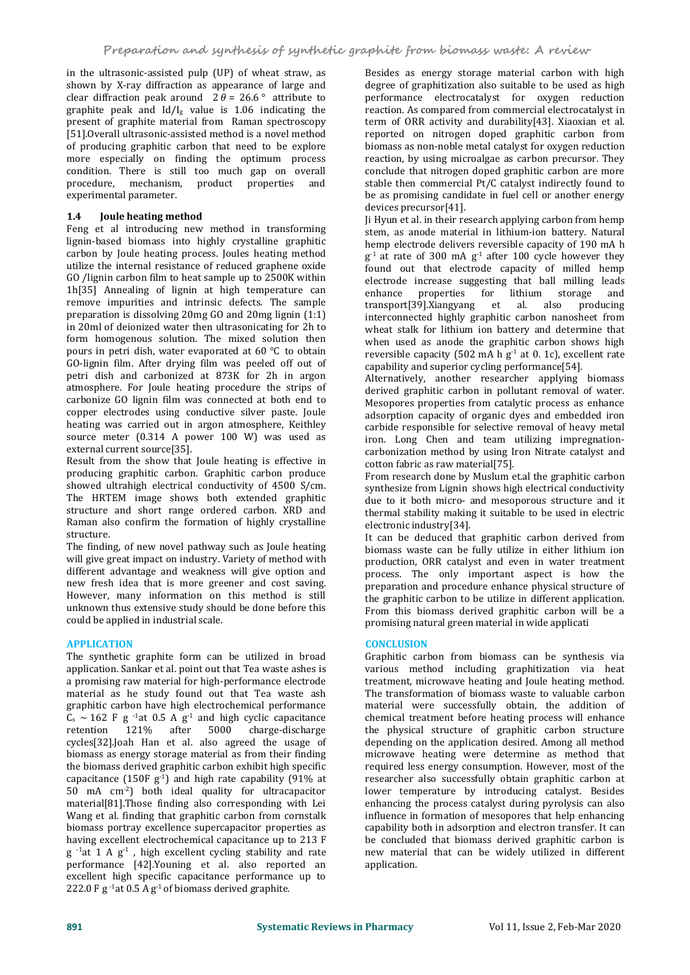in the ultrasonic-assisted pulp (UP) of wheat straw, as shown by X-ray diffraction as appearance of large and clear diffraction peak around  $2 \theta = 26.6$  attribute to graphite peak and  $Id/I<sub>g</sub>$  value is 1.06 indicating the present of graphite material from Raman spectroscopy [51].Overall ultrasonic-assisted method is a novel method of producing graphitic carbon that need to be explore more especially on finding the optimum process condition. There is still too much gap on overall procedure, mechanism, product properties and experimental parameter.

# **1.4 Joule heating method**

Feng et al introducing new method in transforming lignin-based biomass into highly crystalline graphitic carbon by Joule heating process. Joules heating method utilize the internal resistance of reduced graphene oxide GO /lignin carbon film to heat sample up to 2500K within 1h[35] Annealing of lignin at high temperature can enhance properties remove impurities and intrinsic defects. The sample preparation is dissolving 20mg GO and20mg lignin (1:1) in 20ml of deionized water then ultrasonicating for2h to form homogenous solution. The mixed solution then pours in petri dish, water evaporated at  $60^{\circ}$ C to obtain GO-lignin film. After drying film was peeled off out of petri dish and carbonized at 873K for 2h in argon atmosphere. For Joule heating procedure the strips of carbonize GO lignin film was connected at both end to copper electrodes using conductive silver paste. Joule heating was carried out in argon atmosphere, Keithley source meter (0.314 A power 100 W) was used as external current source[35].

Result from the show that Joule heating is effective in producing graphitic carbon. Graphitic carbon produce showed ultrahigh electrical conductivity of 4500 S/cm. The HRTEM image shows both extended graphitic structure and short range ordered carbon. XRD and Raman also confirm the formation of highly crystalline structure.

The finding, of new novel pathway such as Joule heating will give great impact on industry. Variety of method with different advantage and weakness will give option and new fresh idea that is more greener and cost saving. However, many information on this method is still unknown thus extensive study should be done before this could be applied in industrial scale.

# **APPLICATION**

The synthetic graphite form can be utilized in broad application. Sankar et al. point out that Tea waste ashes is a promising raw material for high-performance electrode material as he study found out that Tea waste ash graphitic carbon have high electrochemical performance  $C_s \sim 162$  F g <sup>-1</sup>at 0.5 A g<sup>-1</sup> and high cyclic capacitance chemical tre retention 121% after 5000 charge-discharge cycles[32].Joah Han et al. also agreed the usage of biomass as energy storage material as from their finding the biomass derived graphitic carbon exhibit high specific capacitance  $(150F g<sup>-1</sup>)$  and high rate capability (91% at states researcher also successfull 50 mA cm-2) both ideal quality for ultracapacitor material[81].Those finding also corresponding with Lei Wang et al. finding that graphitic carbon from cornstalk biomass portray excellence supercapacitor properties as having excellent electrochemical capacitance up to 213 F  $g^{-1}$ at 1 A  $g^{-1}$ , high excellent cycling stability and rate arrow materia performance [42].Youning et al. also reported an excellent high specific capacitance performance up to 222.0 F g <sup>-1</sup>at 0.5 A g <sup>-1</sup> of biomass derived graphite.

Besides as energy storage material carbon with high degree of graphitization also suitable to be used as high performance electrocatalyst for oxygen reduction reaction. As compared from commercial electrocatalyst in term of ORR activity and durability[43]. Xiaoxian et al. reported on nitrogen doped graphitic carbon from biomass as non-noble metal catalyst for oxygen reduction reaction, by using microalgae as carbon precursor. They conclude that nitrogen doped graphitic carbon are more stable then commercial Pt/C catalyst indirectly found to be as promising candidate in fuel cell or another energy devices precursor[41].

Ji Hyun et al. in their research applying carbon from hemp stem, as anode material in lithium-ion battery. Natural hemp electrode delivers reversible capacity of 190 mA h  $g^{-1}$  at rate of 300 mA  $g^{-1}$  after 100 cycle however they found out that electrode capacity of milled hemp electrode increase suggesting that ball milling leads<br>enhance properties for lithium storage and enhance properties for lithium storage and transport[39].Xiangyang et al. also producing interconnected highly graphitic carbon nanosheet from wheat stalk for lithium ion battery and determine that when used as anode the graphitic carbon shows high reversible capacity (502 mA h g $^{\text{-}1}$  at 0. 1c), excellent rate capability and superior cycling performance[54].

Alternatively, another researcher applying biomass derived graphitic carbon in pollutant removal of water. Mesopores properties from catalytic process as enhance adsorption capacity of organic dyes and embedded iron carbide responsible for selective removal of heavy metal iron. Long Chen and team utilizing impregnation carbonization method by using Iron Nitrate catalyst and cotton fabric as raw material[75].

From research done by Muslum et.al the graphitic carbon synthesize from Lignin shows high electrical conductivity due to it both micro- and mesoporous structure and it thermal stability making it suitable to be used in electric electronic industry[34].

It can be deduced that graphitic carbon derived from biomass waste can be fully utilize in either lithium ion production, ORR catalyst and even in water treatment process. The only important aspect is how the preparation and procedure enhance physical structure of the graphitic carbon to be utilize in different application. From this biomass derived graphitic carbon will be a promising natural green material in wide applicati

#### **CONCLUSION**

Graphitic carbon from biomass can be synthesis via various method including graphitization via heat treatment, microwave heating and Joule heating method. The transformation of biomass waste to valuable carbon material were successfully obtain, the addition of chemical treatment before heating process will enhance the physical structure of graphitic carbon structure depending on the application desired. Among all method microwave heating were determine as method that required less energy consumption. However, most of the researcher also successfully obtain graphitic carbon at lower temperature by introducing catalyst. Besides enhancing the process catalyst during pyrolysis can also influence in formation of mesopores that help enhancing capability both in adsorption and electron transfer. It can be concluded that biomass derived graphitic carbon is new material that can be widely utilized in different application.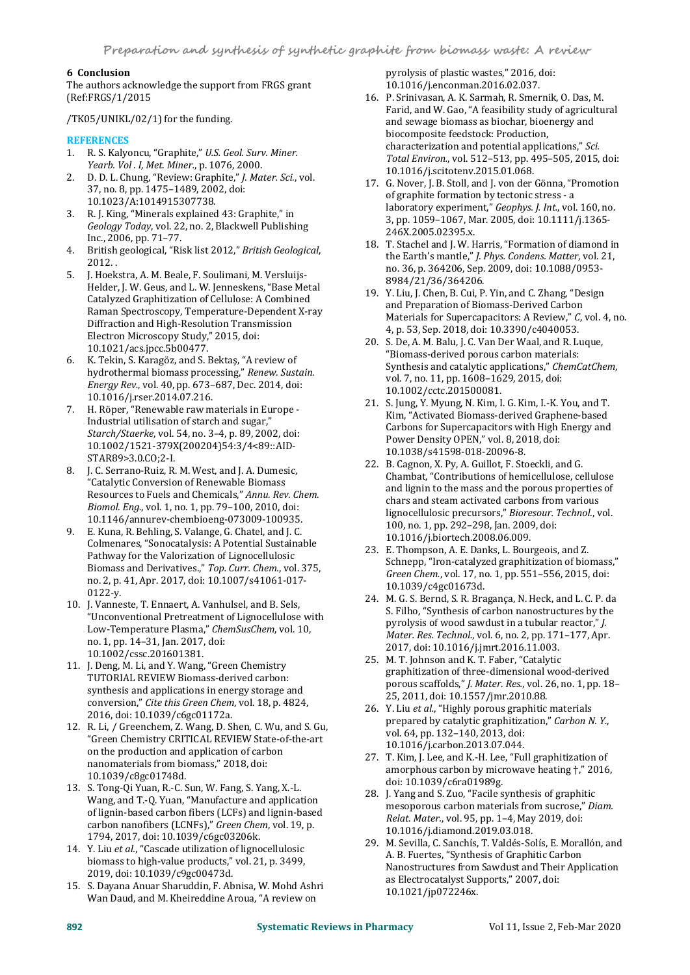# **6 Conclusion**

The authors acknowledge the support from FRGS grant (Ref:FRGS/1/2015

/TK05/UNIKL/02/1) for the funding.

# **REFERENCES**

- 1. R. S. Kalyoncu, "Graphite," *U.S. Geol. Surv. Miner. Yearb. Vol . I, Met. Miner.*, p. 1076, 2000.
- 2. D. D. L. Chung, "Review: Graphite," *J. Mater. Sci.*, vol. 37, no. 8, pp. 1475–1489, 2002, doi:
- 10.1023/A:1014915307738. 3. R. J. King, "Minerals explained 43: Graphite," in *Geology Today*, vol. 22, no. 2, Blackwell Publishing Inc., 2006, pp. 71–77.
- 4. British geological, "Risk list 2012," *British Geological*, 2012. .
- 5. J. Hoekstra, A. M. Beale, F. Soulimani, M. Versluijs- Helder, J. W. Geus, and L. W. Jenneskens, "Base Metal Catalyzed Graphitization of Cellulose: A Combined Raman Spectroscopy, Temperature-Dependent X-ray Diffraction and High-Resolution Transmission Electron Microscopy Study," 2015, doi: 10.1021/acs.jpcc.5b00477.
- 6. K. Tekin, S. Karagöz, and S. Bektaş, "A review of hydrothermal biomass processing," Renew. Sustain. hydrothermal biomass processing," *Renew. Sustain. Energy Rev.*, vol. 40, pp. 673–687, Dec. 2014, doi: 10.1016/j.rser.2014.07.216.
- 7. H. Röper, "Renewable raw materials in Europe -<br>Industrial utilisation of starch and sugar," Starch/Staerke, vol. 54, no. 3-4, p. 89, 2002, doi: 10.1002/1521-379X(200204)54:3/4<89::AID- STAR89>3.0.CO;2-I.
- 8. J. C. Serrano-Ruiz, R. M. West, and J. A. Dumesic, "Catalytic Conversion of Renewable Biomass Resources to Fuels and Chemicals," *Annu. Rev. Chem. Biomol. Eng.*, vol. 1, no. 1, pp. 79–100, 2010, doi: 10.1146/annurev-chembioeng-073009-100935.
- 9. E. Kuna, R. Behling, S. Valange, G. Chatel, and J. C. Colmenares, "Sonocatalysis: A Potential Sustainable Pathway for the Valorization of Lignocellulosic Biomass and Derivatives.," *Top. Curr. Chem.*, vol. 375, no. 2, p. 41, Apr. 2017, doi: 10.1007/s41061-017- 0122-y.
- 10. J. Vanneste, T. Ennaert, A. Vanhulsel, and B. Sels, Low-Temperature Plasma," *ChemSusChem*, vol. 10, no. 1, pp. 14–31, Jan. 2017, doi: 10.1002/cssc.201601381.
- 11. J. Deng, M. Li, and Y. Wang, "Green Chemistry TUTORIAL REVIEW Biomass-derived carbon: synthesis and applications in energy storage and conversion," *Cite this Green Chem*, vol. 18, p. 4824, 2016, doi: 10.1039/c6gc01172a.
- 12. R. Li, / Greenchem, Z. Wang, D. Shen, C. Wu, and S. Gu, "Green Chemistry CRITICAL REVIEW State-of-the-art on the production and application of carbon nanomaterials from biomass," 2018, doi: 10.1039/c8gc01748d.
- 13. S. Tong-Qi Yuan, R.-C. Sun, W. Fang, S. Yang, X.-L. Wang, and T.-Q. Yuan, "Manufacture and application of lignin-based carbon fibers (LCFs) and lignin-based<br>Relat. Mater., vol. 95, pp. 1–4, May 2019, doi: carbon nanofibers (LCNFs)," *Green Chem*, vol. 19, p. 1794, 2017, doi: 10.1039/c6gc03206k.
- 14. Y. Liu *et al.*, "Cascade utilization of lignocellulosic biomass to high-value products," vol. 21, p. 3499, 2019, doi: 10.1039/c9gc00473d.
- 15. S. Dayana Anuar Sharuddin, F. Abnisa, W. Mohd Ashri Wan Daud, and M. Kheireddine Aroua, "A review on

pyrolysis of plastic wastes," 2016, doi: 10.1016/j.enconman.2016.02.037.

- 16. P. Srinivasan, A. K. Sarmah, R. Smernik, O. Das, M. Farid, and W. Gao, "A feasibility study of agricultural and sewage biomass as biochar, bioenergy and biocomposite feedstock: Production,<br>characterization and potential applications," Sci. characterization and potential applications," *Sci. Total Environ.*, vol. 512–513, pp. 495–505, 2015, doi: 10.1016/j.scitotenv.2015.01.068.
- 17. G. Nover, J. B. Stoll, and J. von der Gönna, "Promotion of graphite formation by tectonic stress - a laboratory experiment," *Geophys. J. Int.*, vol. 160, no. 3, pp. 1059–1067, Mar. 2005, doi: 10.1111/j.1365- 246X.2005.02395.x.
- 18. T. Stachel and J. W. Harris, "Formation of diamond in the Earth's mantle," *J. Phys. Condens. Matter*, vol. 21, no. 36, p. 364206, Sep. 2009, doi: 10.1088/0953- 8984/21/36/364206.
- 19. Y. Liu, J. Chen, B. Cui, P. Yin, and C. Zhang, "Design and Preparation of Biomass-Derived Carbon Materials for Supercapacitors: A Review," *C*, vol. 4, no. 4, p. 53, Sep. 2018, doi: 10.3390/c4040053.
- 20. S. De, A. M. Balu, J. C. Van Der Waal, and R. Luque, "Biomass-derived porous carbon materials: Synthesis and catalytic applications," *ChemCatChem*, vol. 7, no. 11, pp. 1608–1629, 2015, doi: 10.1002/cctc.201500081.
- 21. S. Jung, Y. Myung, N. Kim, I. G. Kim, I.-K. You, and T. Kim, "Activated Biomass-derived Graphene-based Carbons for Supercapacitors with High Energy and Power Density OPEN," vol. 8, 2018, doi: 10.1038/s41598-018-20096-8.
- 22. B. Cagnon, X. Py, A. Guillot, F. Stoeckli, and G. Chambat, "Contributions of hemicellulose, cellulose and lignin to the mass and the porous properties of chars and steam activated carbons from various lignocellulosic precursors," *Bioresour. Technol.*, vol. 100, no. 1, pp. 292–298, Jan. 2009, doi: 10.1016/j.biortech.2008.06.009.
- 23. E. Thompson, A. E. Danks, L. Bourgeois, and Z.<br>Schnepp, "Iron-catalyzed graphitization of biomass," Green Chem., vol. 17, no. 1, pp. 551–556, 2015, doi: 10.1039/c4gc01673d.
- "Unconventional Pretreatment of Lignocellulose with<br>pyrolysis of wood sawdust in a tubular reactor," [ 24. M. G. S. Bernd, S. R. Bragança, N. Heck, and L. C. P. da S. Filho, "Synthesis of carbon nanostructures by the *Mater. Res. Technol., vol. 6, no. 2, pp. 171-177, Apr.* 2017, doi: 10.1016/j.jmrt.2016.11.003.
	- 25. M. T. Johnson and K. T. Faber, "Catalytic graphitization of three-dimensional wood-derived porous scaffolds," *J. Mater. Res.*, vol. 26, no. 1, pp. 18– 25, 2011, doi: 10.1557/jmr.2010.88.
	- 26. Y. Liu *et al.*, "Highly porous graphitic materials prepared by catalytic graphitization," *Carbon N. Y.*, vol. 64, pp. 132–140, 2013, doi: 10.1016/j.carbon.2013.07.044.
	- 27. T. Kim, J. Lee, and K.-H. Lee, "Full graphitization of amorphous carbon by microwave heating †," 2016, doi: 10.1039/c6ra01989g.
	- 28. J. Yang and S. Zuo, "Facile synthesis of graphitic mesoporous carbon materials from sucrose," Diam. 10.1016/j.diamond.2019.03.018.
	- 29. M. Sevilla, C. Sanchís, T. Valdés-Solís, E. Morallón, and A. B. Fuertes, "Synthesis of Graphitic Carbon Nanostructures from Sawdust and Their Application as Electrocatalyst Supports," 2007, doi: 10.1021/jp072246x.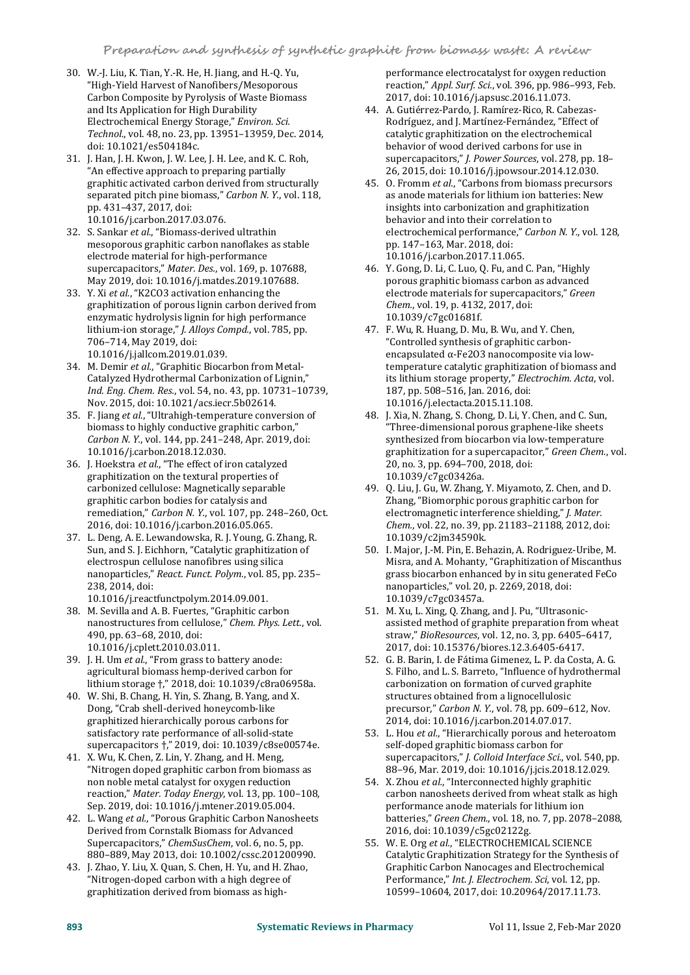- 30. W.-J. Liu, K. Tian, Y.-R. He, H. Jiang, and H.-Q. Yu, "High-Yield Harvest of Nanofibers/Mesoporous Carbon Composite by Pyrolysis of Waste Biomass and Its Application for High Durability<br>Electrochemical Energy Storage," Environ. Sci. Electrochemical Energy Storage," *Environ. Sci. Technol.*, vol. 48, no. 23, pp. 13951–13959, Dec. 2014, doi: 10.1021/es504184c.
- 31. J. Han, J. H. Kwon, J. W. Lee, J. H. Lee, and K. C. Roh, "An effective approach to preparing partially graphitic activated carbon derived from structurally separated pitch pine biomass," *Carbon N. Y.*, vol. 118, pp. 431–437, 2017, doi: 10.1016/j.carbon.2017.03.076.
- 32. S. Sankar *et al.*, "Biomass-derived ultrathin mesoporous graphitic carbon nanoflakes as stable electrode material for high-performance supercapacitors," *Mater. Des.*, vol. 169, p. 107688, May 2019, doi: 10.1016/j.matdes.2019.107688.
- 33. Y. Xi *et al.*, "K2CO3 activation enhancing the graphitization of porous lignin carbon derived from Chem., vol. 19, p. 4132, 2017, doi: enzymatic hydrolysis lignin for high performance lithium-ion storage," *J. Alloys Compd.*, vol. 785, pp. 706–714, May 2019, doi: 10.1016/j.jallcom.2019.01.039.
- 34. M. Demir *et al.*, "Graphitic Biocarbon from Metal- Catalyzed Hydrothermal Carbonization of Lignin," *Ind. Eng. Chem. Res.*, vol. 54, no. 43, pp. 10731–10739, Nov. 2015, doi: 10.1021/acs.iecr.5b02614.
- 35. F. Jiang *et al.*, "Ultrahigh-temperature conversion of biomass to highly conductive graphitic carbon," *Carbon N. Y.*, vol. 144, pp. 241–248, Apr. 2019, doi: 10.1016/j.carbon.2018.12.030.
- 36. J. Hoekstra *et al.*, "The effect of iron catalyzed graphitization on the textural properties of carbonized cellulose: Magnetically separable graphitic carbon bodies for catalysis and remediation," *Carbon N. Y.*, vol. 107, pp. 248–260, Oct. 2016, doi: 10.1016/j.carbon.2016.05.065.
- 37. L. Deng, A. E. Lewandowska, R. J. Young, G. Zhang, R. Sun, and S. J. Eichhorn, "Catalytic graphitization of electrospun cellulose nanofibres using silica nanoparticles," *React. Funct. Polym.*, vol. 85, pp. 235– 238, 2014, doi: 10.1016/j.reactfunctpolym.2014.09.001.
- 38. M. Sevilla and A. B. Fuertes, "Graphitic carbon nanostructures from cellulose," *Chem. Phys. Lett.*, vol. 490, pp. 63–68, 2010, doi: 10.1016/j.cplett.2010.03.011.
- 39. J. H. Um *et al.*, "From grass to battery anode: agricultural biomass hemp-derived carbon for lithium storage †," 2018, doi: 10.1039/c8ra06958a.
- 40. W. Shi, B. Chang, H. Yin, S. Zhang, B. Yang, and X. Dong, "Crab shell-derived honeycomb-like graphitized hierarchically porous carbons for satisfactory rate performance of all-solid-state supercapacitors †," 2019, doi: 10.1039/c8se00574e.
- 41. X. Wu, K. Chen, Z. Lin, Y. Zhang, and H. Meng, "Nitrogen doped graphitic carbon from biomass as non noble metal catalyst for oxygen reduction reaction," *Mater. Today Energy*, vol. 13, pp. 100–108, Sep. 2019, doi: 10.1016/j.mtener.2019.05.004.
- 42. L. Wang *et al.*, "Porous Graphitic Carbon Nanosheets Derived from Cornstalk Biomass for Advanced Supercapacitors," *ChemSusChem*, vol. 6, no. 5, pp. 880–889, May 2013, doi: 10.1002/cssc.201200990.
- 43. J. Zhao, Y. Liu, X. Quan, S. Chen, H. Yu, and H. Zhao, "Nitrogen-doped carbon with a high degree of graphitization derived from biomass as high-

performance electrocatalyst for oxygen reduction reaction," *Appl. Surf. Sci.*, vol. 396, pp. 986–993, Feb. 2017, doi: 10.1016/j.apsusc.2016.11.073.

- 44. A. Gutiérrez-Pardo, J. Ramírez-Rico, R. Cabezas- Rodríguez, and J. Martínez-Fernández, "Effect of catalytic graphitization on the electrochemical behavior of wood derived carbons for use in supercapacitors," *J. Power Sources*, vol. 278, pp. 18– 26, 2015, doi: 10.1016/j.jpowsour.2014.12.030.
- 45. O. Fromm *et al.*, "Carbons from biomass precursors as anode materials for lithium ion batteries: New insights into carbonization and graphitization behavior and into their correlation to electrochemical performance," *Carbon N. Y.*, vol. 128, pp. 147–163, Mar. 2018, doi: 10.1016/j.carbon.2017.11.065.
- 46. Y. Gong, D. Li, C. Luo, Q. Fu, and C. Pan, "Highly porous graphitic biomass carbon as advanced electrode materials for supercapacitors," Green. 10.1039/c7gc01681f.
- 47. F. Wu, R. Huang, D. Mu, B. Wu, and Y. Chen, "Controlled synthesis of graphitic carbon encapsulated α-Fe2O3 nanocomposite via low temperature catalytic graphitization of biomass and its lithium storage property," *Electrochim. Acta*, vol. 187, pp. 508–516, Jan. 2016, doi: 10.1016/j.electacta.2015.11.108.
- 48. J. Xia, N. Zhang, S. Chong, D. Li, Y. Chen, and C. Sun, "Three-dimensional porous graphene-like sheets synthesized from biocarbon via low-temperature graphitization for a supercapacitor," *Green Chem.*, vol. 20, no. 3, pp. 694–700, 2018, doi: 10.1039/c7gc03426a.
- 49. Q. Liu, J. Gu, W. Zhang, Y. Miyamoto, Z. Chen, and D. Zhang, "Biomorphic porous graphitic carbon for electromagnetic interference shielding," J. Mater. electromagnetic interference shielding," *J. Mater. Chem.*, vol. 22, no. 39, pp. 21183–21188, 2012, doi: 10.1039/c2jm34590k.
- 50. I. Major, J.-M. Pin, E. Behazin, A. Rodriguez-Uribe, M. Misra, and A. Mohanty, "Graphitization of Miscanthus grass biocarbon enhanced by in situ generated FeCo nanoparticles," vol. 20, p. 2269, 2018, doi: 10.1039/c7gc03457a.
- 51. M. Xu, L. Xing, Q. Zhang, and J. Pu, "Ultrasonic assisted method of graphite preparation from wheat straw," *BioResources*, vol. 12, no. 3, pp. 6405–6417, 2017, doi: 10.15376/biores.12.3.6405-6417.
- 52. G. B. Barin, I. de Fátima Gimenez, L. P. da Costa, A. G. S. Filho, and L. S. Barreto, "Influence of hydrothermal carbonization on formation of curved graphite structures obtained from a lignocellulosic precursor," *Carbon N. Y.*, vol. 78, pp. 609–612, Nov. 2014, doi: 10.1016/j.carbon.2014.07.017.
- 53. L. Hou *et al.*, "Hierarchically porous and heteroatom self-doped graphitic biomass carbon for supercapacitors," *J. Colloid Interface Sci.*, vol. 540, pp. 88–96, Mar. 2019, doi: 10.1016/j.jcis.2018.12.029.
- 54. X. Zhou *et al.*, "Interconnected highly graphitic carbon nanosheets derived from wheat stalk as high performance anode materials for lithium ion batteries," *Green Chem.*, vol. 18,no. 7, pp. 2078–2088, 2016, doi: 10.1039/c5gc02122g.
- 55. W. E. Org *et al.*, "ELECTROCHEMICAL SCIENCE Catalytic Graphitization Strategy for the Synthesis of Graphitic Carbon Nanocages and Electrochemical Performance," *Int. J. Electrochem. Sci*, vol. 12, pp. 10599–10604, 2017, doi: 10.20964/2017.11.73.